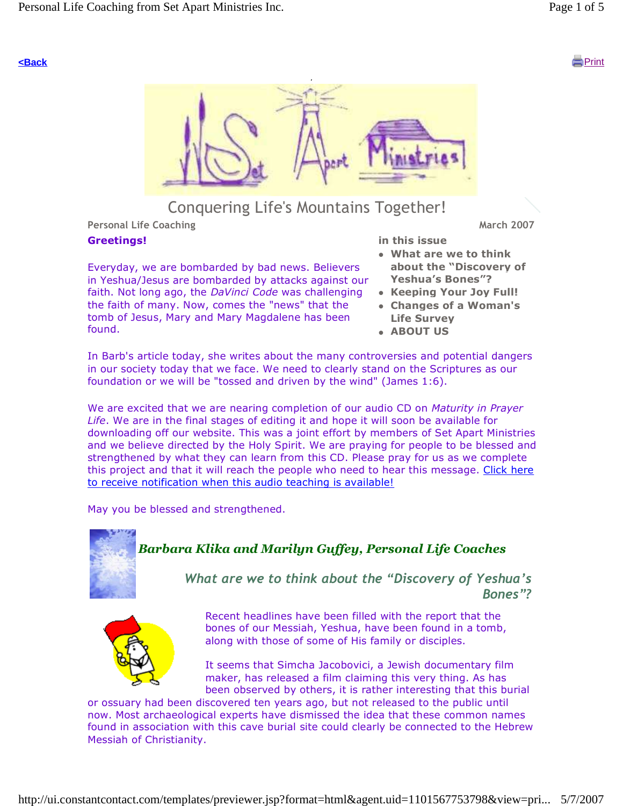



## Conquering Life's Mountains Together!

Personal Life Coaching March 2007 (November 2007) and the March 2007 (November 2007)

#### Greetings!

Everyday, we are bombarded by bad news. Believers in Yeshua/Jesus are bombarded by attacks against our faith. Not long ago, the DaVinci Code was challenging the faith of many. Now, comes the "news" that the tomb of Jesus, Mary and Mary Magdalene has been found.

- in this issue What are we to think about the "Discovery of Yeshua's Bones"?
- Keeping Your Joy Full!
- Changes of a Woman's Life Survey
- **ABOUT US**

In Barb's article today, she writes about the many controversies and potential dangers in our society today that we face. We need to clearly stand on the Scriptures as our foundation or we will be "tossed and driven by the wind" (James 1:6).

We are excited that we are nearing completion of our audio CD on Maturity in Prayer Life. We are in the final stages of editing it and hope it will soon be available for downloading off our website. This was a joint effort by members of Set Apart Ministries and we believe directed by the Holy Spirit. We are praying for people to be blessed and strengthened by what they can learn from this CD. Please pray for us as we complete this project and that it will reach the people who need to hear this message. Click here to receive notification when this audio teaching is available!

May you be blessed and strengthened.



## Barbara Klika and Marilyn Guffey, Personal Life Coaches

What are we to think about the "Discovery of Yeshua's Bones"?



Recent headlines have been filled with the report that the bones of our Messiah, Yeshua, have been found in a tomb, along with those of some of His family or disciples.

It seems that Simcha Jacobovici, a Jewish documentary film maker, has released a film claiming this very thing. As has been observed by others, it is rather interesting that this burial

or ossuary had been discovered ten years ago, but not released to the public until now. Most archaeological experts have dismissed the idea that these common names found in association with this cave burial site could clearly be connected to the Hebrew Messiah of Christianity.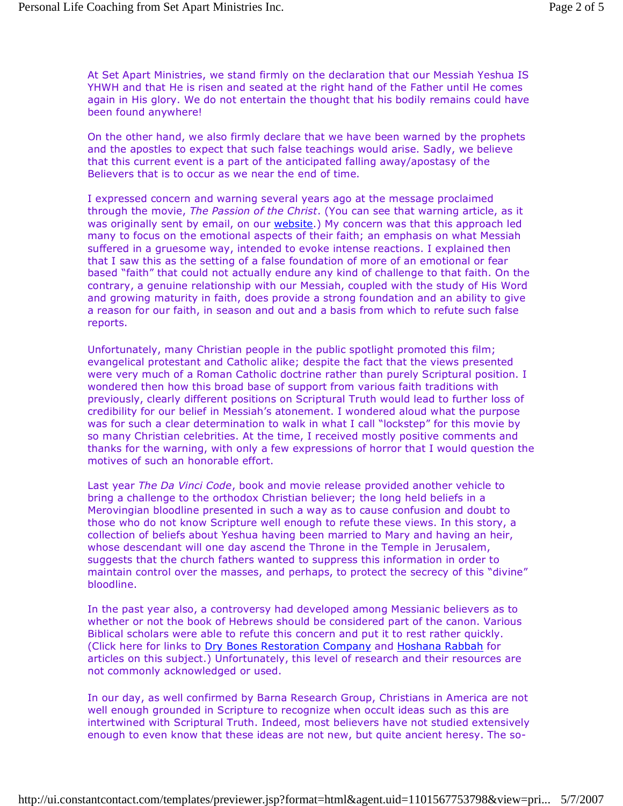At Set Apart Ministries, we stand firmly on the declaration that our Messiah Yeshua IS YHWH and that He is risen and seated at the right hand of the Father until He comes again in His glory. We do not entertain the thought that his bodily remains could have been found anywhere!

On the other hand, we also firmly declare that we have been warned by the prophets and the apostles to expect that such false teachings would arise. Sadly, we believe that this current event is a part of the anticipated falling away/apostasy of the Believers that is to occur as we near the end of time.

I expressed concern and warning several years ago at the message proclaimed through the movie, The Passion of the Christ. (You can see that warning article, as it was originally sent by email, on our website.) My concern was that this approach led many to focus on the emotional aspects of their faith; an emphasis on what Messiah suffered in a gruesome way, intended to evoke intense reactions. I explained then that I saw this as the setting of a false foundation of more of an emotional or fear based "faith" that could not actually endure any kind of challenge to that faith. On the contrary, a genuine relationship with our Messiah, coupled with the study of His Word and growing maturity in faith, does provide a strong foundation and an ability to give a reason for our faith, in season and out and a basis from which to refute such false reports.

Unfortunately, many Christian people in the public spotlight promoted this film; evangelical protestant and Catholic alike; despite the fact that the views presented were very much of a Roman Catholic doctrine rather than purely Scriptural position. I wondered then how this broad base of support from various faith traditions with previously, clearly different positions on Scriptural Truth would lead to further loss of credibility for our belief in Messiah's atonement. I wondered aloud what the purpose was for such a clear determination to walk in what I call "lockstep" for this movie by so many Christian celebrities. At the time, I received mostly positive comments and thanks for the warning, with only a few expressions of horror that I would question the motives of such an honorable effort.

Last year The Da Vinci Code, book and movie release provided another vehicle to bring a challenge to the orthodox Christian believer; the long held beliefs in a Merovingian bloodline presented in such a way as to cause confusion and doubt to those who do not know Scripture well enough to refute these views. In this story, a collection of beliefs about Yeshua having been married to Mary and having an heir, whose descendant will one day ascend the Throne in the Temple in Jerusalem, suggests that the church fathers wanted to suppress this information in order to maintain control over the masses, and perhaps, to protect the secrecy of this "divine" bloodline.

In the past year also, a controversy had developed among Messianic believers as to whether or not the book of Hebrews should be considered part of the canon. Various Biblical scholars were able to refute this concern and put it to rest rather quickly. (Click here for links to Dry Bones Restoration Company and Hoshana Rabbah for articles on this subject.) Unfortunately, this level of research and their resources are not commonly acknowledged or used.

In our day, as well confirmed by Barna Research Group, Christians in America are not well enough grounded in Scripture to recognize when occult ideas such as this are intertwined with Scriptural Truth. Indeed, most believers have not studied extensively enough to even know that these ideas are not new, but quite ancient heresy. The so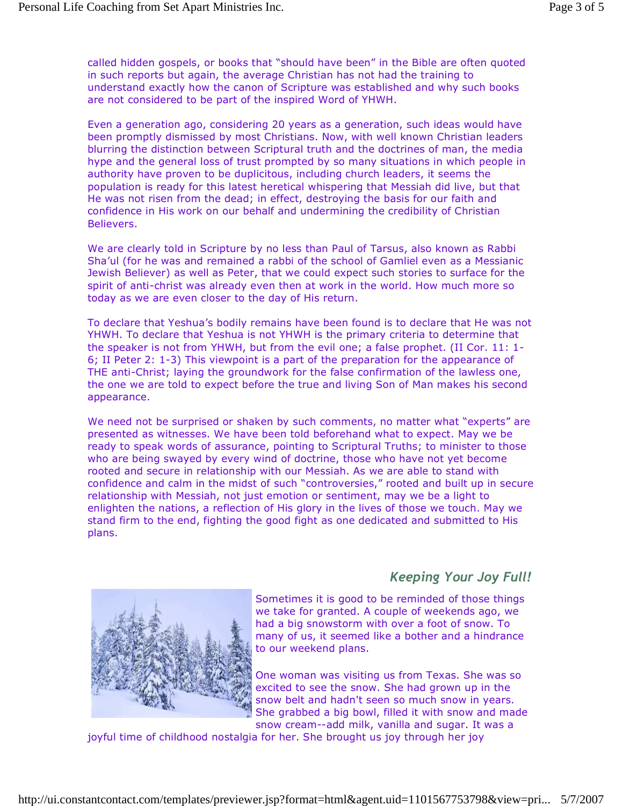called hidden gospels, or books that "should have been" in the Bible are often quoted in such reports but again, the average Christian has not had the training to understand exactly how the canon of Scripture was established and why such books are not considered to be part of the inspired Word of YHWH.

Even a generation ago, considering 20 years as a generation, such ideas would have been promptly dismissed by most Christians. Now, with well known Christian leaders blurring the distinction between Scriptural truth and the doctrines of man, the media hype and the general loss of trust prompted by so many situations in which people in authority have proven to be duplicitous, including church leaders, it seems the population is ready for this latest heretical whispering that Messiah did live, but that He was not risen from the dead; in effect, destroying the basis for our faith and confidence in His work on our behalf and undermining the credibility of Christian Believers.

We are clearly told in Scripture by no less than Paul of Tarsus, also known as Rabbi Sha'ul (for he was and remained a rabbi of the school of Gamliel even as a Messianic Jewish Believer) as well as Peter, that we could expect such stories to surface for the spirit of anti-christ was already even then at work in the world. How much more so today as we are even closer to the day of His return.

To declare that Yeshua's bodily remains have been found is to declare that He was not YHWH. To declare that Yeshua is not YHWH is the primary criteria to determine that the speaker is not from YHWH, but from the evil one; a false prophet. (II Cor. 11: 1- 6; II Peter 2: 1-3) This viewpoint is a part of the preparation for the appearance of THE anti-Christ; laying the groundwork for the false confirmation of the lawless one, the one we are told to expect before the true and living Son of Man makes his second appearance.

We need not be surprised or shaken by such comments, no matter what "experts" are presented as witnesses. We have been told beforehand what to expect. May we be ready to speak words of assurance, pointing to Scriptural Truths; to minister to those who are being swayed by every wind of doctrine, those who have not yet become rooted and secure in relationship with our Messiah. As we are able to stand with confidence and calm in the midst of such "controversies," rooted and built up in secure relationship with Messiah, not just emotion or sentiment, may we be a light to enlighten the nations, a reflection of His glory in the lives of those we touch. May we stand firm to the end, fighting the good fight as one dedicated and submitted to His plans.





Sometimes it is good to be reminded of those things we take for granted. A couple of weekends ago, we had a big snowstorm with over a foot of snow. To many of us, it seemed like a bother and a hindrance to our weekend plans.

One woman was visiting us from Texas. She was so excited to see the snow. She had grown up in the snow belt and hadn't seen so much snow in years. She grabbed a big bowl, filled it with snow and made snow cream--add milk, vanilla and sugar. It was a

joyful time of childhood nostalgia for her. She brought us joy through her joy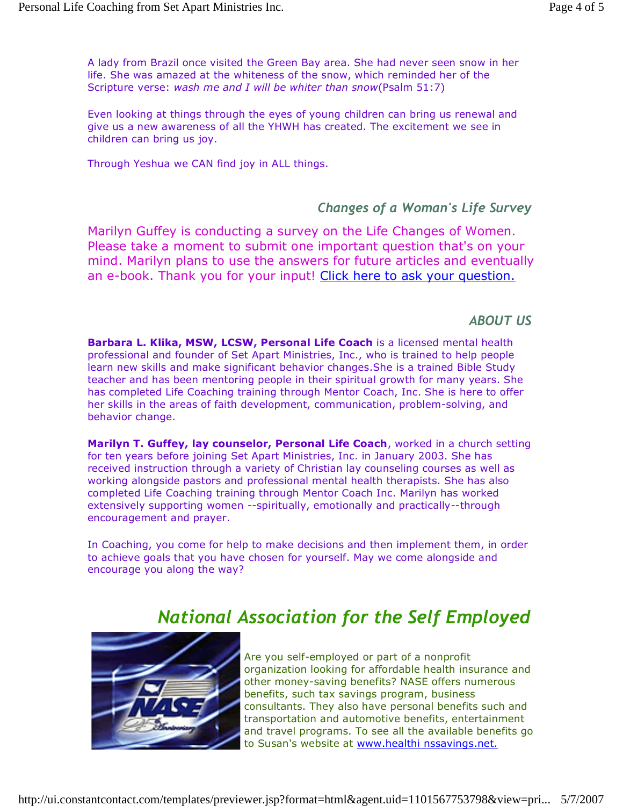A lady from Brazil once visited the Green Bay area. She had never seen snow in her life. She was amazed at the whiteness of the snow, which reminded her of the Scripture verse: wash me and I will be whiter than snow(Psalm 51:7)

Even looking at things through the eyes of young children can bring us renewal and give us a new awareness of all the YHWH has created. The excitement we see in children can bring us joy.

Through Yeshua we CAN find joy in ALL things.

### Changes of a Woman's Life Survey

Marilyn Guffey is conducting a survey on the Life Changes of Women. Please take a moment to submit one important question that's on your mind. Marilyn plans to use the answers for future articles and eventually an e-book. Thank you for your input! Click here to ask your question.

### ABOUT US

Barbara L. Klika, MSW, LCSW, Personal Life Coach is a licensed mental health professional and founder of Set Apart Ministries, Inc., who is trained to help people learn new skills and make significant behavior changes.She is a trained Bible Study teacher and has been mentoring people in their spiritual growth for many years. She has completed Life Coaching training through Mentor Coach, Inc. She is here to offer her skills in the areas of faith development, communication, problem-solving, and behavior change.

Marilyn T. Guffey, lay counselor, Personal Life Coach, worked in a church setting for ten years before joining Set Apart Ministries, Inc. in January 2003. She has received instruction through a variety of Christian lay counseling courses as well as working alongside pastors and professional mental health therapists. She has also completed Life Coaching training through Mentor Coach Inc. Marilyn has worked extensively supporting women --spiritually, emotionally and practically--through encouragement and prayer.

In Coaching, you come for help to make decisions and then implement them, in order to achieve goals that you have chosen for yourself. May we come alongside and encourage you along the way?

# National Association for the Self Employed



Are you self-employed or part of a nonprofit organization looking for affordable health insurance and other money-saving benefits? NASE offers numerous benefits, such tax savings program, business consultants. They also have personal benefits such and transportation and automotive benefits, entertainment and travel programs. To see all the available benefits go to Susan's website at www.healthi nssavings.net.